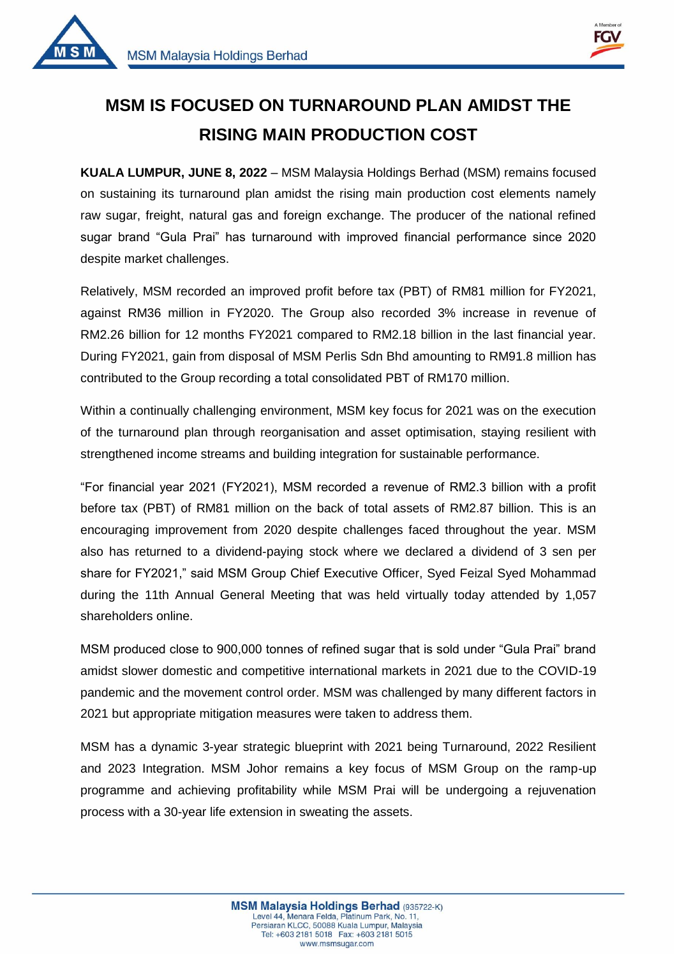



1

## **MSM IS FOCUSED ON TURNAROUND PLAN AMIDST THE RISING MAIN PRODUCTION COST**

**KUALA LUMPUR, JUNE 8, 2022** – MSM Malaysia Holdings Berhad (MSM) remains focused on sustaining its turnaround plan amidst the rising main production cost elements namely raw sugar, freight, natural gas and foreign exchange. The producer of the national refined sugar brand "Gula Prai" has turnaround with improved financial performance since 2020 despite market challenges.

Relatively, MSM recorded an improved profit before tax (PBT) of RM81 million for FY2021, against RM36 million in FY2020. The Group also recorded 3% increase in revenue of RM2.26 billion for 12 months FY2021 compared to RM2.18 billion in the last financial year. During FY2021, gain from disposal of MSM Perlis Sdn Bhd amounting to RM91.8 million has contributed to the Group recording a total consolidated PBT of RM170 million.

Within a continually challenging environment, MSM key focus for 2021 was on the execution of the turnaround plan through reorganisation and asset optimisation, staying resilient with strengthened income streams and building integration for sustainable performance.

"For financial year 2021 (FY2021), MSM recorded a revenue of RM2.3 billion with a profit before tax (PBT) of RM81 million on the back of total assets of RM2.87 billion. This is an encouraging improvement from 2020 despite challenges faced throughout the year. MSM also has returned to a dividend-paying stock where we declared a dividend of 3 sen per share for FY2021," said MSM Group Chief Executive Officer, Syed Feizal Syed Mohammad during the 11th Annual General Meeting that was held virtually today attended by 1,057 shareholders online.

MSM produced close to 900,000 tonnes of refined sugar that is sold under "Gula Prai" brand amidst slower domestic and competitive international markets in 2021 due to the COVID-19 pandemic and the movement control order. MSM was challenged by many different factors in 2021 but appropriate mitigation measures were taken to address them.

MSM has a dynamic 3-year strategic blueprint with 2021 being Turnaround, 2022 Resilient and 2023 Integration. MSM Johor remains a key focus of MSM Group on the ramp-up programme and achieving profitability while MSM Prai will be undergoing a rejuvenation process with a 30-year life extension in sweating the assets.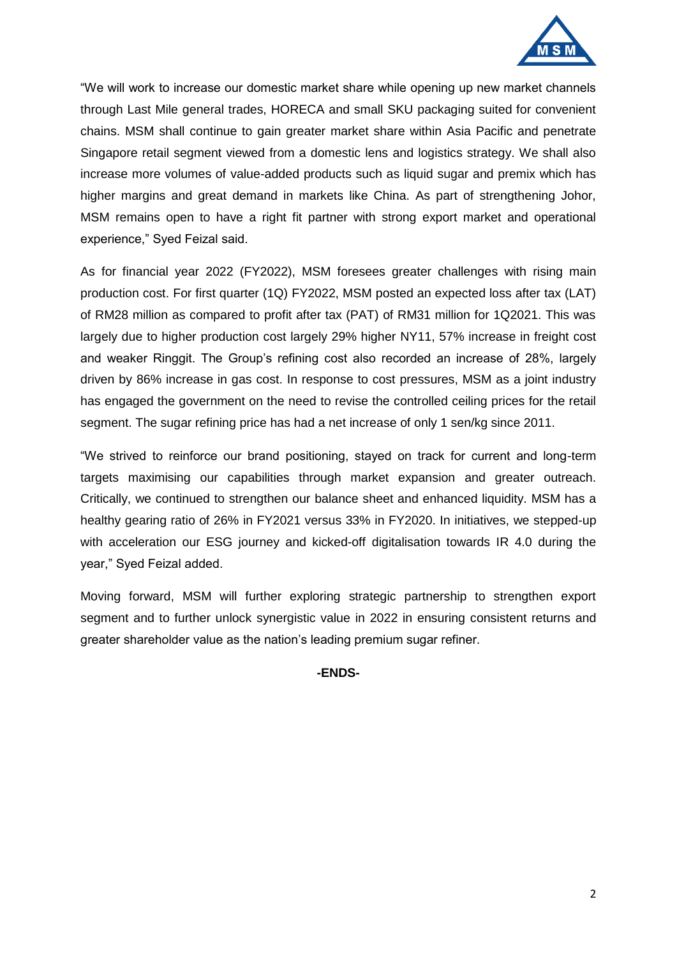

"We will work to increase our domestic market share while opening up new market channels through Last Mile general trades, HORECA and small SKU packaging suited for convenient chains. MSM shall continue to gain greater market share within Asia Pacific and penetrate Singapore retail segment viewed from a domestic lens and logistics strategy. We shall also increase more volumes of value-added products such as liquid sugar and premix which has higher margins and great demand in markets like China. As part of strengthening Johor, MSM remains open to have a right fit partner with strong export market and operational experience," Syed Feizal said.

As for financial year 2022 (FY2022), MSM foresees greater challenges with rising main production cost. For first quarter (1Q) FY2022, MSM posted an expected loss after tax (LAT) of RM28 million as compared to profit after tax (PAT) of RM31 million for 1Q2021. This was largely due to higher production cost largely 29% higher NY11, 57% increase in freight cost and weaker Ringgit. The Group's refining cost also recorded an increase of 28%, largely driven by 86% increase in gas cost. In response to cost pressures, MSM as a joint industry has engaged the government on the need to revise the controlled ceiling prices for the retail segment. The sugar refining price has had a net increase of only 1 sen/kg since 2011.

"We strived to reinforce our brand positioning, stayed on track for current and long-term targets maximising our capabilities through market expansion and greater outreach. Critically, we continued to strengthen our balance sheet and enhanced liquidity. MSM has a healthy gearing ratio of 26% in FY2021 versus 33% in FY2020. In initiatives, we stepped-up with acceleration our ESG journey and kicked-off digitalisation towards IR 4.0 during the year," Syed Feizal added.

Moving forward, MSM will further exploring strategic partnership to strengthen export segment and to further unlock synergistic value in 2022 in ensuring consistent returns and greater shareholder value as the nation's leading premium sugar refiner.

## **-ENDS-**